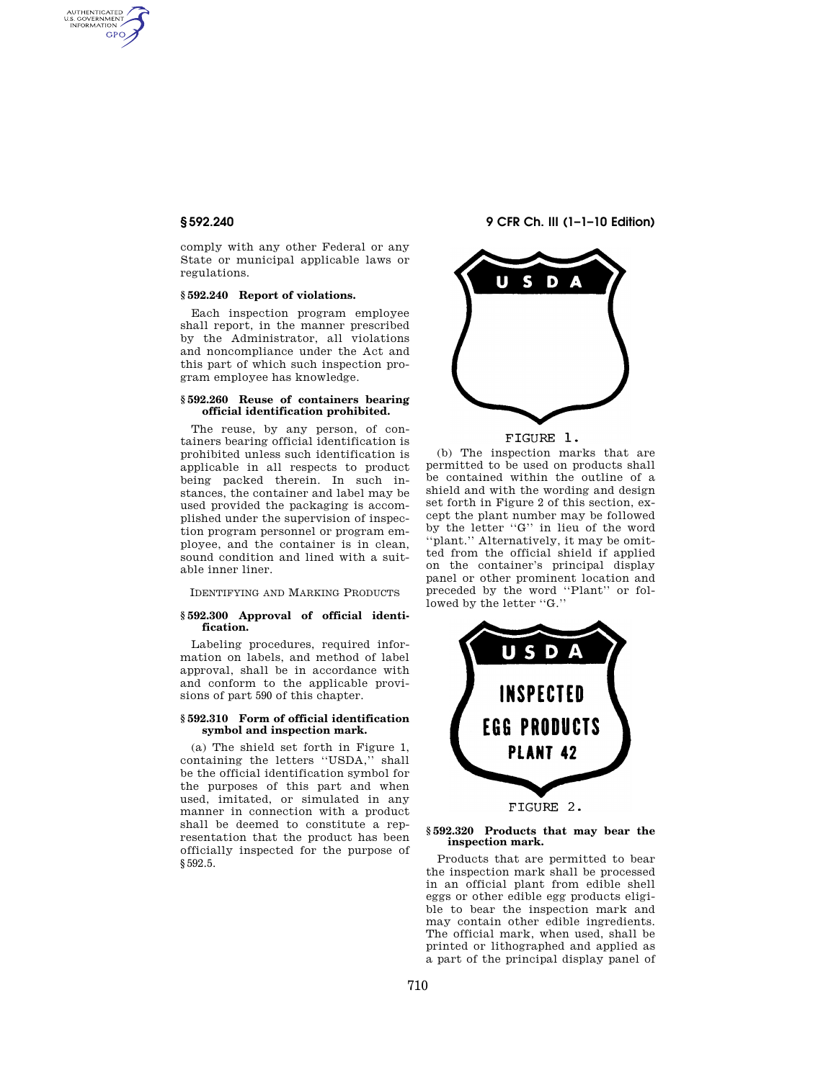AUTHENTICATED<br>U.S. GOVERNMENT<br>INFORMATION GPO

> comply with any other Federal or any State or municipal applicable laws or regulations.

# **§ 592.240 Report of violations.**

Each inspection program employee shall report, in the manner prescribed by the Administrator, all violations and noncompliance under the Act and this part of which such inspection program employee has knowledge.

## **§ 592.260 Reuse of containers bearing official identification prohibited.**

The reuse, by any person, of containers bearing official identification is prohibited unless such identification is applicable in all respects to product being packed therein. In such instances, the container and label may be used provided the packaging is accomplished under the supervision of inspection program personnel or program employee, and the container is in clean, sound condition and lined with a suitable inner liner.

IDENTIFYING AND MARKING PRODUCTS

## **§ 592.300 Approval of official identification.**

Labeling procedures, required information on labels, and method of label approval, shall be in accordance with and conform to the applicable provisions of part 590 of this chapter.

#### **§ 592.310 Form of official identification symbol and inspection mark.**

(a) The shield set forth in Figure 1, containing the letters ''USDA,'' shall be the official identification symbol for the purposes of this part and when used, imitated, or simulated in any manner in connection with a product shall be deemed to constitute a representation that the product has been officially inspected for the purpose of §592.5.

**§ 592.240 9 CFR Ch. III (1–1–10 Edition)** 



FIGURE 1.

(b) The inspection marks that are permitted to be used on products shall be contained within the outline of a shield and with the wording and design set forth in Figure 2 of this section, except the plant number may be followed by the letter ''G'' in lieu of the word ''plant.'' Alternatively, it may be omitted from the official shield if applied on the container's principal display panel or other prominent location and preceded by the word ''Plant'' or followed by the letter "G."



# **§ 592.320 Products that may bear the**

**inspection mark.** 

Products that are permitted to bear the inspection mark shall be processed in an official plant from edible shell eggs or other edible egg products eligible to bear the inspection mark and may contain other edible ingredients. The official mark, when used, shall be printed or lithographed and applied as a part of the principal display panel of